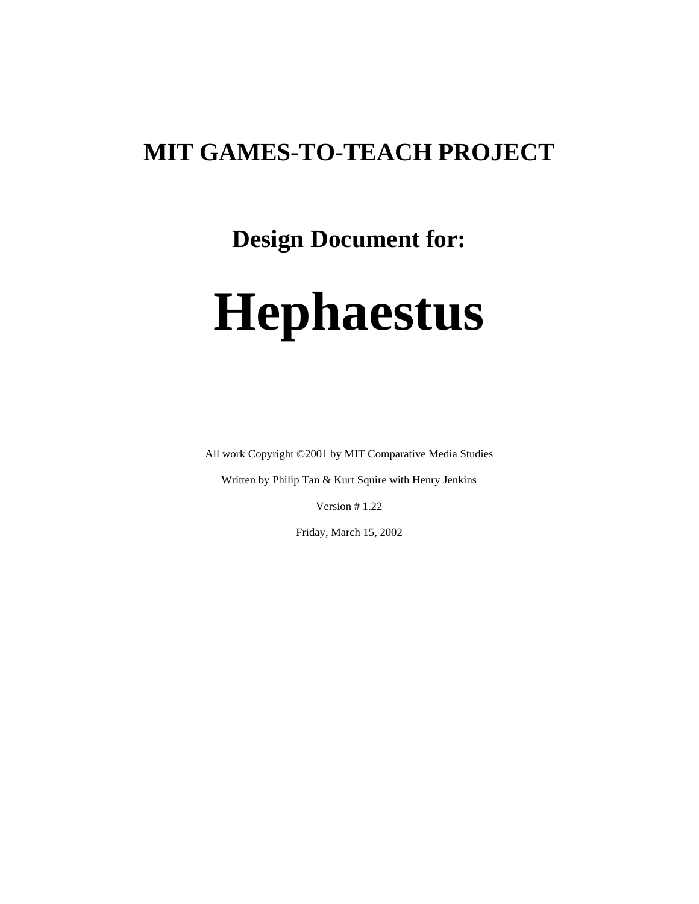### **MIT GAMES-TO-TEACH PROJECT**

**Design Document for:**

# **Hephaestus**

All work Copyright ©2001 by MIT Comparative Media Studies

Written by Philip Tan & Kurt Squire with Henry Jenkins

Version # 1.22

Friday, March 15, 2002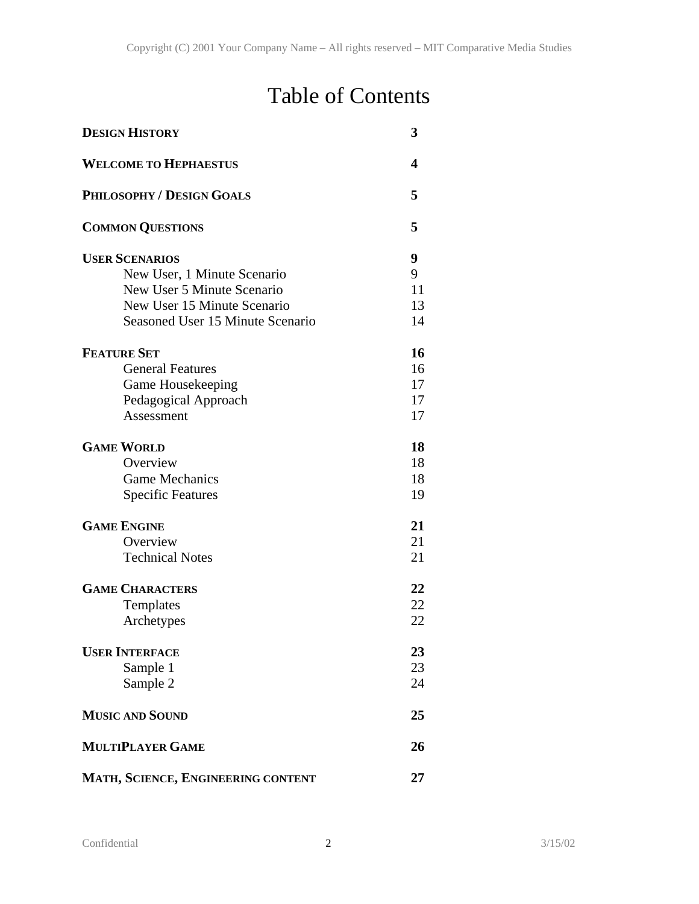## Table of Contents

| <b>DESIGN HISTORY</b>              | 3  |
|------------------------------------|----|
| <b>WELCOME TO HEPHAESTUS</b>       | 4  |
| PHILOSOPHY / DESIGN GOALS          | 5  |
| <b>COMMON QUESTIONS</b>            | 5  |
| <b>USER SCENARIOS</b>              | 9  |
| New User, 1 Minute Scenario        | 9  |
| New User 5 Minute Scenario         | 11 |
| New User 15 Minute Scenario        | 13 |
| Seasoned User 15 Minute Scenario   | 14 |
| <b>FEATURE SET</b>                 | 16 |
| <b>General Features</b>            | 16 |
| Game Housekeeping                  | 17 |
| Pedagogical Approach               | 17 |
| Assessment                         | 17 |
| <b>GAME WORLD</b>                  | 18 |
| Overview                           | 18 |
| <b>Game Mechanics</b>              | 18 |
| <b>Specific Features</b>           | 19 |
| <b>GAME ENGINE</b>                 | 21 |
| Overview                           | 21 |
| <b>Technical Notes</b>             | 21 |
| <b>GAME CHARACTERS</b>             | 22 |
| Templates                          | 22 |
| Archetypes                         | 22 |
| <b>USER INTERFACE</b>              | 23 |
| Sample 1                           | 23 |
| Sample 2                           | 24 |
| <b>MUSIC AND SOUND</b>             | 25 |
| <b>MULTIPLAYER GAME</b>            | 26 |
| MATH, SCIENCE, ENGINEERING CONTENT | 27 |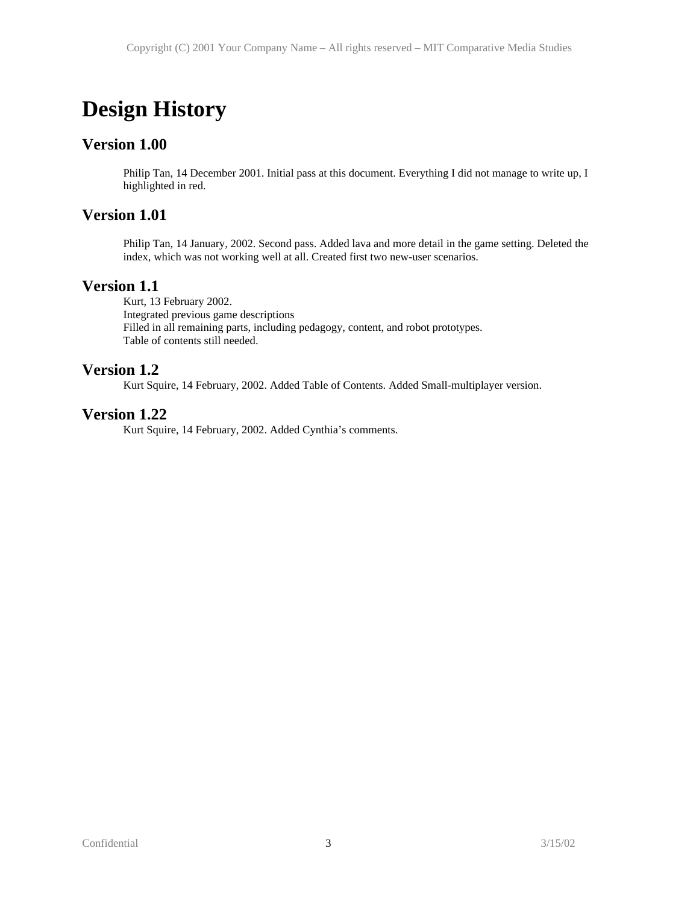### **Design History**

### **Version 1.00**

Philip Tan, 14 December 2001. Initial pass at this document. Everything I did not manage to write up, I highlighted in red.

### **Version 1.01**

Philip Tan, 14 January, 2002. Second pass. Added lava and more detail in the game setting. Deleted the index, which was not working well at all. Created first two new-user scenarios.

### **Version 1.1**

Kurt, 13 February 2002. Integrated previous game descriptions Filled in all remaining parts, including pedagogy, content, and robot prototypes. Table of contents still needed.

### **Version 1.2**

Kurt Squire, 14 February, 2002. Added Table of Contents. Added Small-multiplayer version.

### **Version 1.22**

Kurt Squire, 14 February, 2002. Added Cynthia's comments.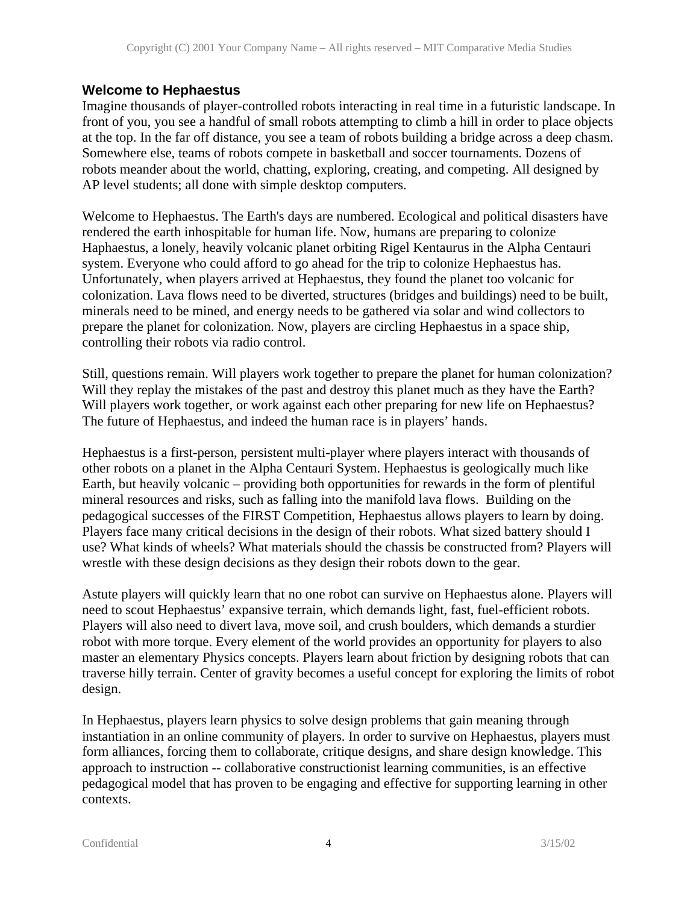#### **Welcome to Hephaestus**

Imagine thousands of player-controlled robots interacting in real time in a futuristic landscape. In front of you, you see a handful of small robots attempting to climb a hill in order to place objects at the top. In the far off distance, you see a team of robots building a bridge across a deep chasm. Somewhere else, teams of robots compete in basketball and soccer tournaments. Dozens of robots meander about the world, chatting, exploring, creating, and competing. All designed by AP level students; all done with simple desktop computers.

Welcome to Hephaestus. The Earth's days are numbered. Ecological and political disasters have rendered the earth inhospitable for human life. Now, humans are preparing to colonize Haphaestus, a lonely, heavily volcanic planet orbiting Rigel Kentaurus in the Alpha Centauri system. Everyone who could afford to go ahead for the trip to colonize Hephaestus has. Unfortunately, when players arrived at Hephaestus, they found the planet too volcanic for colonization. Lava flows need to be diverted, structures (bridges and buildings) need to be built, minerals need to be mined, and energy needs to be gathered via solar and wind collectors to prepare the planet for colonization. Now, players are circling Hephaestus in a space ship, controlling their robots via radio control.

Still, questions remain. Will players work together to prepare the planet for human colonization? Will they replay the mistakes of the past and destroy this planet much as they have the Earth? Will players work together, or work against each other preparing for new life on Hephaestus? The future of Hephaestus, and indeed the human race is in players' hands.

Hephaestus is a first-person, persistent multi-player where players interact with thousands of other robots on a planet in the Alpha Centauri System. Hephaestus is geologically much like Earth, but heavily volcanic – providing both opportunities for rewards in the form of plentiful mineral resources and risks, such as falling into the manifold lava flows. Building on the pedagogical successes of the FIRST Competition, Hephaestus allows players to learn by doing. Players face many critical decisions in the design of their robots. What sized battery should I use? What kinds of wheels? What materials should the chassis be constructed from? Players will wrestle with these design decisions as they design their robots down to the gear.

Astute players will quickly learn that no one robot can survive on Hephaestus alone. Players will need to scout Hephaestus' expansive terrain, which demands light, fast, fuel-efficient robots. Players will also need to divert lava, move soil, and crush boulders, which demands a sturdier robot with more torque. Every element of the world provides an opportunity for players to also master an elementary Physics concepts. Players learn about friction by designing robots that can traverse hilly terrain. Center of gravity becomes a useful concept for exploring the limits of robot design.

In Hephaestus, players learn physics to solve design problems that gain meaning through instantiation in an online community of players. In order to survive on Hephaestus, players must form alliances, forcing them to collaborate, critique designs, and share design knowledge. This approach to instruction -- collaborative constructionist learning communities, is an effective pedagogical model that has proven to be engaging and effective for supporting learning in other contexts.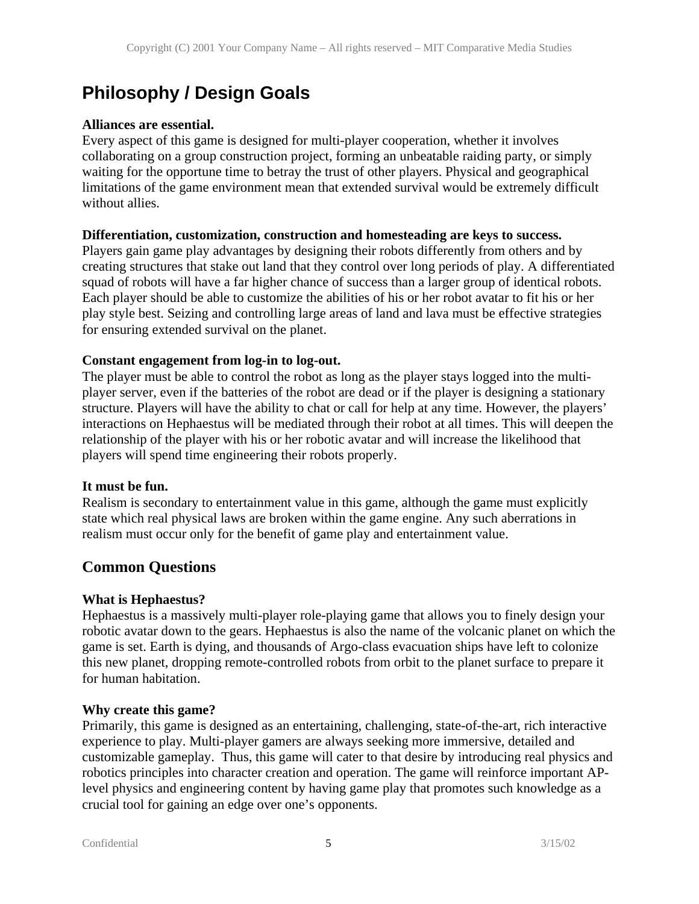### **Philosophy / Design Goals**

### **Alliances are essential.**

Every aspect of this game is designed for multi-player cooperation, whether it involves collaborating on a group construction project, forming an unbeatable raiding party, or simply waiting for the opportune time to betray the trust of other players. Physical and geographical limitations of the game environment mean that extended survival would be extremely difficult without allies.

### **Differentiation, customization, construction and homesteading are keys to success.**

Players gain game play advantages by designing their robots differently from others and by creating structures that stake out land that they control over long periods of play. A differentiated squad of robots will have a far higher chance of success than a larger group of identical robots. Each player should be able to customize the abilities of his or her robot avatar to fit his or her play style best. Seizing and controlling large areas of land and lava must be effective strategies for ensuring extended survival on the planet.

### **Constant engagement from log-in to log-out.**

The player must be able to control the robot as long as the player stays logged into the multiplayer server, even if the batteries of the robot are dead or if the player is designing a stationary structure. Players will have the ability to chat or call for help at any time. However, the players' interactions on Hephaestus will be mediated through their robot at all times. This will deepen the relationship of the player with his or her robotic avatar and will increase the likelihood that players will spend time engineering their robots properly.

### **It must be fun.**

Realism is secondary to entertainment value in this game, although the game must explicitly state which real physical laws are broken within the game engine. Any such aberrations in realism must occur only for the benefit of game play and entertainment value.

### **Common Questions**

### **What is Hephaestus?**

Hephaestus is a massively multi-player role-playing game that allows you to finely design your robotic avatar down to the gears. Hephaestus is also the name of the volcanic planet on which the game is set. Earth is dying, and thousands of Argo-class evacuation ships have left to colonize this new planet, dropping remote-controlled robots from orbit to the planet surface to prepare it for human habitation.

### **Why create this game?**

Primarily, this game is designed as an entertaining, challenging, state-of-the-art, rich interactive experience to play. Multi-player gamers are always seeking more immersive, detailed and customizable gameplay. Thus, this game will cater to that desire by introducing real physics and robotics principles into character creation and operation. The game will reinforce important APlevel physics and engineering content by having game play that promotes such knowledge as a crucial tool for gaining an edge over one's opponents.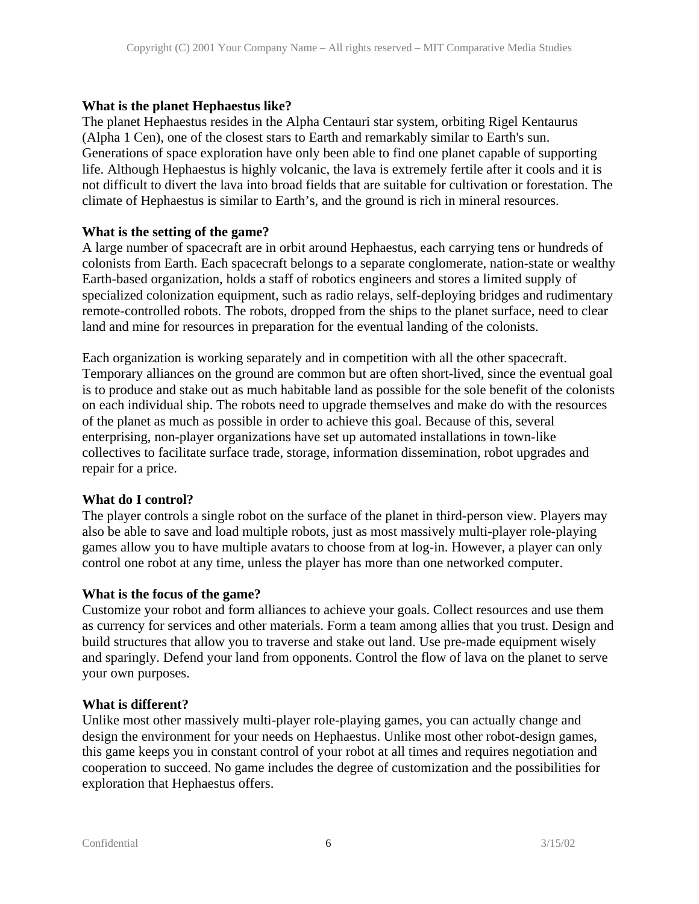### **What is the planet Hephaestus like?**

The planet Hephaestus resides in the Alpha Centauri star system, orbiting Rigel Kentaurus (Alpha 1 Cen), one of the closest stars to Earth and remarkably similar to Earth's sun. Generations of space exploration have only been able to find one planet capable of supporting life. Although Hephaestus is highly volcanic, the lava is extremely fertile after it cools and it is not difficult to divert the lava into broad fields that are suitable for cultivation or forestation. The climate of Hephaestus is similar to Earth's, and the ground is rich in mineral resources.

### **What is the setting of the game?**

A large number of spacecraft are in orbit around Hephaestus, each carrying tens or hundreds of colonists from Earth. Each spacecraft belongs to a separate conglomerate, nation-state or wealthy Earth-based organization, holds a staff of robotics engineers and stores a limited supply of specialized colonization equipment, such as radio relays, self-deploying bridges and rudimentary remote-controlled robots. The robots, dropped from the ships to the planet surface, need to clear land and mine for resources in preparation for the eventual landing of the colonists.

Each organization is working separately and in competition with all the other spacecraft. Temporary alliances on the ground are common but are often short-lived, since the eventual goal is to produce and stake out as much habitable land as possible for the sole benefit of the colonists on each individual ship. The robots need to upgrade themselves and make do with the resources of the planet as much as possible in order to achieve this goal. Because of this, several enterprising, non-player organizations have set up automated installations in town-like collectives to facilitate surface trade, storage, information dissemination, robot upgrades and repair for a price.

### **What do I control?**

The player controls a single robot on the surface of the planet in third-person view. Players may also be able to save and load multiple robots, just as most massively multi-player role-playing games allow you to have multiple avatars to choose from at log-in. However, a player can only control one robot at any time, unless the player has more than one networked computer.

### **What is the focus of the game?**

Customize your robot and form alliances to achieve your goals. Collect resources and use them as currency for services and other materials. Form a team among allies that you trust. Design and build structures that allow you to traverse and stake out land. Use pre-made equipment wisely and sparingly. Defend your land from opponents. Control the flow of lava on the planet to serve your own purposes.

### **What is different?**

Unlike most other massively multi-player role-playing games, you can actually change and design the environment for your needs on Hephaestus. Unlike most other robot-design games, this game keeps you in constant control of your robot at all times and requires negotiation and cooperation to succeed. No game includes the degree of customization and the possibilities for exploration that Hephaestus offers.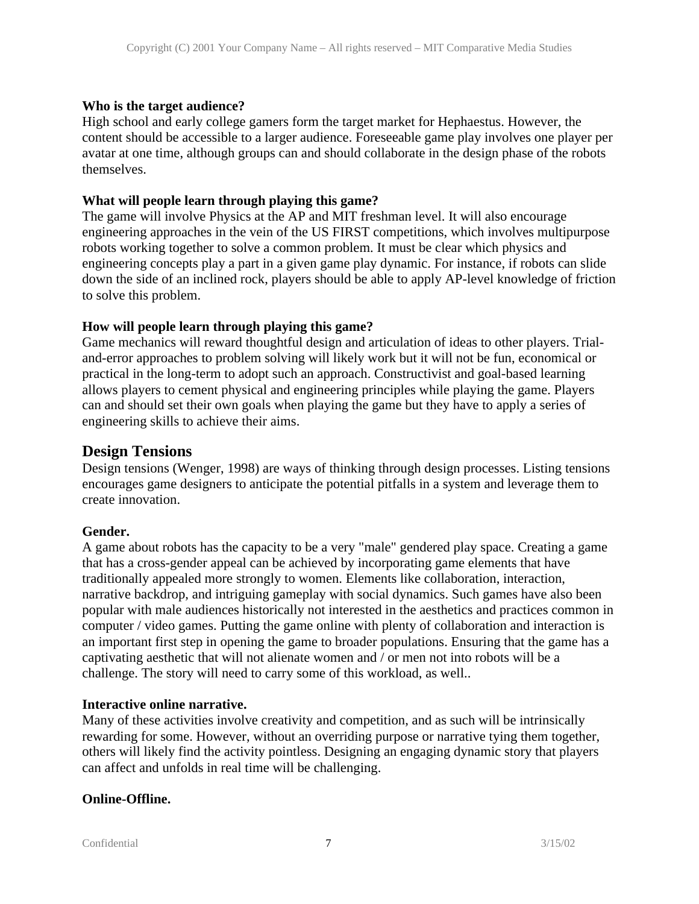### **Who is the target audience?**

High school and early college gamers form the target market for Hephaestus. However, the content should be accessible to a larger audience. Foreseeable game play involves one player per avatar at one time, although groups can and should collaborate in the design phase of the robots themselves.

### **What will people learn through playing this game?**

The game will involve Physics at the AP and MIT freshman level. It will also encourage engineering approaches in the vein of the US FIRST competitions, which involves multipurpose robots working together to solve a common problem. It must be clear which physics and engineering concepts play a part in a given game play dynamic. For instance, if robots can slide down the side of an inclined rock, players should be able to apply AP-level knowledge of friction to solve this problem.

### **How will people learn through playing this game?**

Game mechanics will reward thoughtful design and articulation of ideas to other players. Trialand-error approaches to problem solving will likely work but it will not be fun, economical or practical in the long-term to adopt such an approach. Constructivist and goal-based learning allows players to cement physical and engineering principles while playing the game. Players can and should set their own goals when playing the game but they have to apply a series of engineering skills to achieve their aims.

### **Design Tensions**

Design tensions (Wenger, 1998) are ways of thinking through design processes. Listing tensions encourages game designers to anticipate the potential pitfalls in a system and leverage them to create innovation.

### **Gender.**

A game about robots has the capacity to be a very "male" gendered play space. Creating a game that has a cross-gender appeal can be achieved by incorporating game elements that have traditionally appealed more strongly to women. Elements like collaboration, interaction, narrative backdrop, and intriguing gameplay with social dynamics. Such games have also been popular with male audiences historically not interested in the aesthetics and practices common in computer / video games. Putting the game online with plenty of collaboration and interaction is an important first step in opening the game to broader populations. Ensuring that the game has a captivating aesthetic that will not alienate women and / or men not into robots will be a challenge. The story will need to carry some of this workload, as well..

### **Interactive online narrative.**

Many of these activities involve creativity and competition, and as such will be intrinsically rewarding for some. However, without an overriding purpose or narrative tying them together, others will likely find the activity pointless. Designing an engaging dynamic story that players can affect and unfolds in real time will be challenging.

### **Online-Offline.**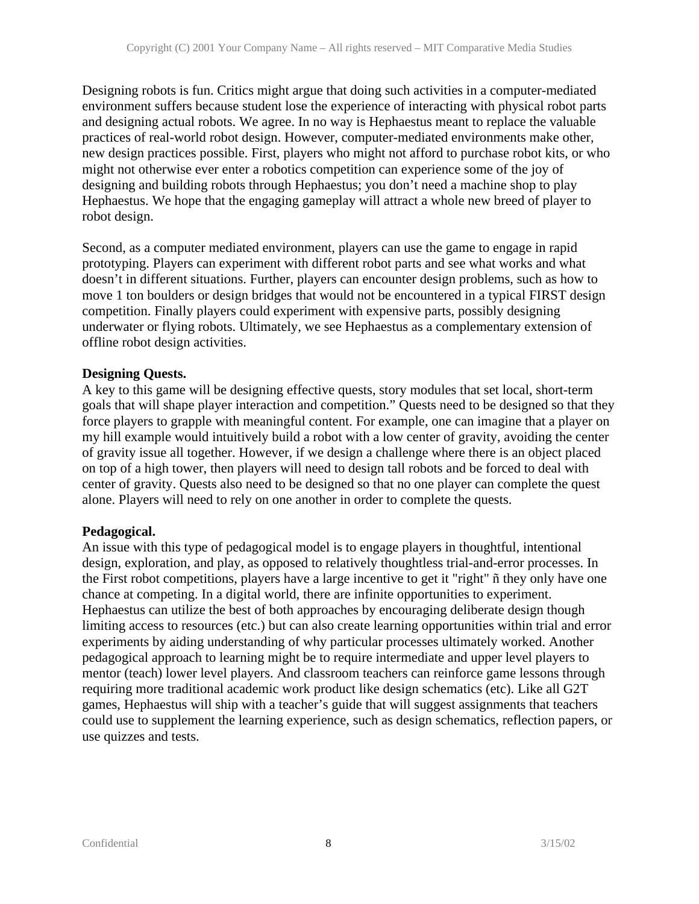Designing robots is fun. Critics might argue that doing such activities in a computer-mediated environment suffers because student lose the experience of interacting with physical robot parts and designing actual robots. We agree. In no way is Hephaestus meant to replace the valuable practices of real-world robot design. However, computer-mediated environments make other, new design practices possible. First, players who might not afford to purchase robot kits, or who might not otherwise ever enter a robotics competition can experience some of the joy of designing and building robots through Hephaestus; you don't need a machine shop to play Hephaestus. We hope that the engaging gameplay will attract a whole new breed of player to robot design.

Second, as a computer mediated environment, players can use the game to engage in rapid prototyping. Players can experiment with different robot parts and see what works and what doesn't in different situations. Further, players can encounter design problems, such as how to move 1 ton boulders or design bridges that would not be encountered in a typical FIRST design competition. Finally players could experiment with expensive parts, possibly designing underwater or flying robots. Ultimately, we see Hephaestus as a complementary extension of offline robot design activities.

#### **Designing Quests.**

A key to this game will be designing effective quests, story modules that set local, short-term goals that will shape player interaction and competition." Quests need to be designed so that they force players to grapple with meaningful content. For example, one can imagine that a player on my hill example would intuitively build a robot with a low center of gravity, avoiding the center of gravity issue all together. However, if we design a challenge where there is an object placed on top of a high tower, then players will need to design tall robots and be forced to deal with center of gravity. Quests also need to be designed so that no one player can complete the quest alone. Players will need to rely on one another in order to complete the quests.

#### **Pedagogical.**

An issue with this type of pedagogical model is to engage players in thoughtful, intentional design, exploration, and play, as opposed to relatively thoughtless trial-and-error processes. In the First robot competitions, players have a large incentive to get it "right" ñ they only have one chance at competing. In a digital world, there are infinite opportunities to experiment. Hephaestus can utilize the best of both approaches by encouraging deliberate design though limiting access to resources (etc.) but can also create learning opportunities within trial and error experiments by aiding understanding of why particular processes ultimately worked. Another pedagogical approach to learning might be to require intermediate and upper level players to mentor (teach) lower level players. And classroom teachers can reinforce game lessons through requiring more traditional academic work product like design schematics (etc). Like all G2T games, Hephaestus will ship with a teacher's guide that will suggest assignments that teachers could use to supplement the learning experience, such as design schematics, reflection papers, or use quizzes and tests.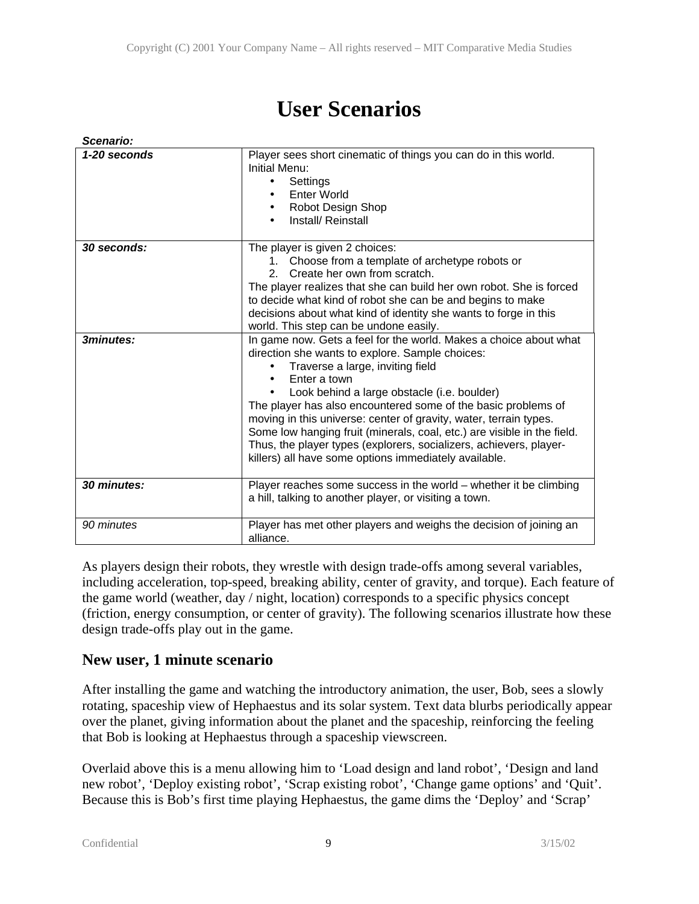### **User Scenarios**

| Scenario:    |                                                                                                                                                                                                                                                                                                                                                                                                                                                                                                                                                                                      |
|--------------|--------------------------------------------------------------------------------------------------------------------------------------------------------------------------------------------------------------------------------------------------------------------------------------------------------------------------------------------------------------------------------------------------------------------------------------------------------------------------------------------------------------------------------------------------------------------------------------|
| 1-20 seconds | Player sees short cinematic of things you can do in this world.<br>Initial Menu:<br>Settings<br>$\bullet$<br><b>Enter World</b><br>Robot Design Shop<br>Install/Reinstall<br>$\bullet$                                                                                                                                                                                                                                                                                                                                                                                               |
| 30 seconds:  | The player is given 2 choices:<br>Choose from a template of archetype robots or<br>$1_{-}$<br>Create her own from scratch.<br>The player realizes that she can build her own robot. She is forced<br>to decide what kind of robot she can be and begins to make<br>decisions about what kind of identity she wants to forge in this<br>world. This step can be undone easily.                                                                                                                                                                                                        |
| 3minutes:    | In game now. Gets a feel for the world. Makes a choice about what<br>direction she wants to explore. Sample choices:<br>Traverse a large, inviting field<br>Enter a town<br>$\bullet$<br>Look behind a large obstacle (i.e. boulder)<br>The player has also encountered some of the basic problems of<br>moving in this universe: center of gravity, water, terrain types.<br>Some low hanging fruit (minerals, coal, etc.) are visible in the field.<br>Thus, the player types (explorers, socializers, achievers, player-<br>killers) all have some options immediately available. |
| 30 minutes:  | Player reaches some success in the world – whether it be climbing<br>a hill, talking to another player, or visiting a town.                                                                                                                                                                                                                                                                                                                                                                                                                                                          |
| 90 minutes   | Player has met other players and weighs the decision of joining an<br>alliance.                                                                                                                                                                                                                                                                                                                                                                                                                                                                                                      |

As players design their robots, they wrestle with design trade-offs among several variables, including acceleration, top-speed, breaking ability, center of gravity, and torque). Each feature of the game world (weather, day / night, location) corresponds to a specific physics concept (friction, energy consumption, or center of gravity). The following scenarios illustrate how these design trade-offs play out in the game.

### **New user, 1 minute scenario**

After installing the game and watching the introductory animation, the user, Bob, sees a slowly rotating, spaceship view of Hephaestus and its solar system. Text data blurbs periodically appear over the planet, giving information about the planet and the spaceship, reinforcing the feeling that Bob is looking at Hephaestus through a spaceship viewscreen.

Overlaid above this is a menu allowing him to 'Load design and land robot', 'Design and land new robot', 'Deploy existing robot', 'Scrap existing robot', 'Change game options' and 'Quit'. Because this is Bob's first time playing Hephaestus, the game dims the 'Deploy' and 'Scrap'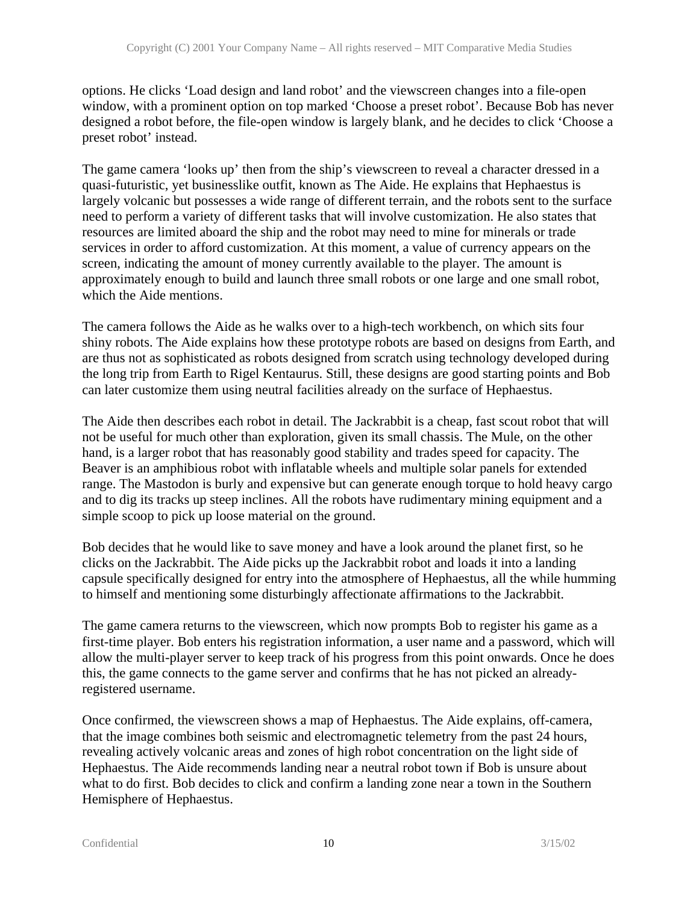options. He clicks 'Load design and land robot' and the viewscreen changes into a file-open window, with a prominent option on top marked 'Choose a preset robot'. Because Bob has never designed a robot before, the file-open window is largely blank, and he decides to click 'Choose a preset robot' instead.

The game camera 'looks up' then from the ship's viewscreen to reveal a character dressed in a quasi-futuristic, yet businesslike outfit, known as The Aide. He explains that Hephaestus is largely volcanic but possesses a wide range of different terrain, and the robots sent to the surface need to perform a variety of different tasks that will involve customization. He also states that resources are limited aboard the ship and the robot may need to mine for minerals or trade services in order to afford customization. At this moment, a value of currency appears on the screen, indicating the amount of money currently available to the player. The amount is approximately enough to build and launch three small robots or one large and one small robot, which the Aide mentions.

The camera follows the Aide as he walks over to a high-tech workbench, on which sits four shiny robots. The Aide explains how these prototype robots are based on designs from Earth, and are thus not as sophisticated as robots designed from scratch using technology developed during the long trip from Earth to Rigel Kentaurus. Still, these designs are good starting points and Bob can later customize them using neutral facilities already on the surface of Hephaestus.

The Aide then describes each robot in detail. The Jackrabbit is a cheap, fast scout robot that will not be useful for much other than exploration, given its small chassis. The Mule, on the other hand, is a larger robot that has reasonably good stability and trades speed for capacity. The Beaver is an amphibious robot with inflatable wheels and multiple solar panels for extended range. The Mastodon is burly and expensive but can generate enough torque to hold heavy cargo and to dig its tracks up steep inclines. All the robots have rudimentary mining equipment and a simple scoop to pick up loose material on the ground.

Bob decides that he would like to save money and have a look around the planet first, so he clicks on the Jackrabbit. The Aide picks up the Jackrabbit robot and loads it into a landing capsule specifically designed for entry into the atmosphere of Hephaestus, all the while humming to himself and mentioning some disturbingly affectionate affirmations to the Jackrabbit.

The game camera returns to the viewscreen, which now prompts Bob to register his game as a first-time player. Bob enters his registration information, a user name and a password, which will allow the multi-player server to keep track of his progress from this point onwards. Once he does this, the game connects to the game server and confirms that he has not picked an alreadyregistered username.

Once confirmed, the viewscreen shows a map of Hephaestus. The Aide explains, off-camera, that the image combines both seismic and electromagnetic telemetry from the past 24 hours, revealing actively volcanic areas and zones of high robot concentration on the light side of Hephaestus. The Aide recommends landing near a neutral robot town if Bob is unsure about what to do first. Bob decides to click and confirm a landing zone near a town in the Southern Hemisphere of Hephaestus.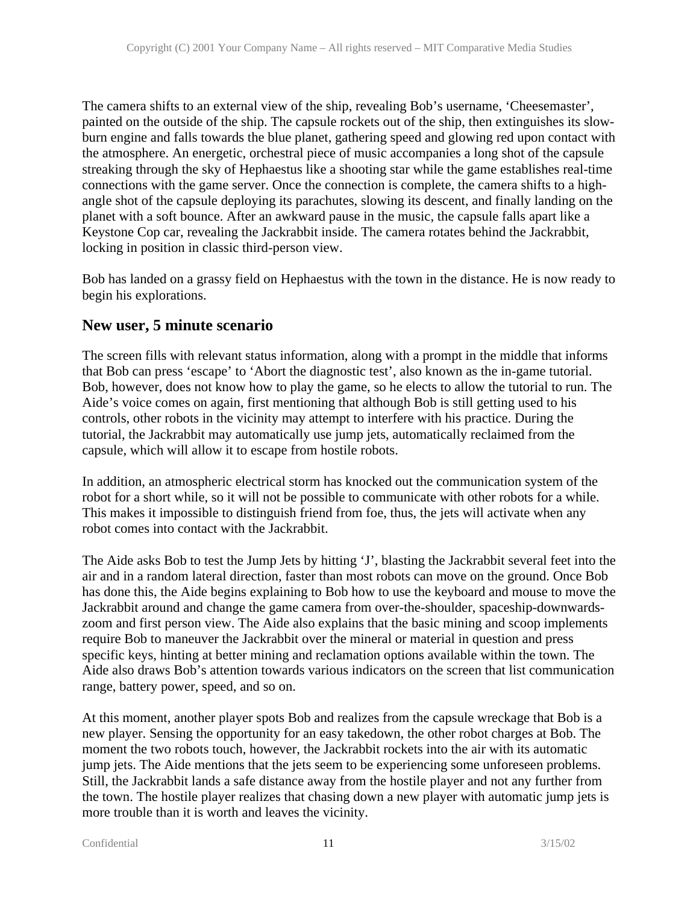The camera shifts to an external view of the ship, revealing Bob's username, 'Cheesemaster', painted on the outside of the ship. The capsule rockets out of the ship, then extinguishes its slowburn engine and falls towards the blue planet, gathering speed and glowing red upon contact with the atmosphere. An energetic, orchestral piece of music accompanies a long shot of the capsule streaking through the sky of Hephaestus like a shooting star while the game establishes real-time connections with the game server. Once the connection is complete, the camera shifts to a highangle shot of the capsule deploying its parachutes, slowing its descent, and finally landing on the planet with a soft bounce. After an awkward pause in the music, the capsule falls apart like a Keystone Cop car, revealing the Jackrabbit inside. The camera rotates behind the Jackrabbit, locking in position in classic third-person view.

Bob has landed on a grassy field on Hephaestus with the town in the distance. He is now ready to begin his explorations.

### **New user, 5 minute scenario**

The screen fills with relevant status information, along with a prompt in the middle that informs that Bob can press 'escape' to 'Abort the diagnostic test', also known as the in-game tutorial. Bob, however, does not know how to play the game, so he elects to allow the tutorial to run. The Aide's voice comes on again, first mentioning that although Bob is still getting used to his controls, other robots in the vicinity may attempt to interfere with his practice. During the tutorial, the Jackrabbit may automatically use jump jets, automatically reclaimed from the capsule, which will allow it to escape from hostile robots.

In addition, an atmospheric electrical storm has knocked out the communication system of the robot for a short while, so it will not be possible to communicate with other robots for a while. This makes it impossible to distinguish friend from foe, thus, the jets will activate when any robot comes into contact with the Jackrabbit.

The Aide asks Bob to test the Jump Jets by hitting 'J', blasting the Jackrabbit several feet into the air and in a random lateral direction, faster than most robots can move on the ground. Once Bob has done this, the Aide begins explaining to Bob how to use the keyboard and mouse to move the Jackrabbit around and change the game camera from over-the-shoulder, spaceship-downwardszoom and first person view. The Aide also explains that the basic mining and scoop implements require Bob to maneuver the Jackrabbit over the mineral or material in question and press specific keys, hinting at better mining and reclamation options available within the town. The Aide also draws Bob's attention towards various indicators on the screen that list communication range, battery power, speed, and so on.

At this moment, another player spots Bob and realizes from the capsule wreckage that Bob is a new player. Sensing the opportunity for an easy takedown, the other robot charges at Bob. The moment the two robots touch, however, the Jackrabbit rockets into the air with its automatic jump jets. The Aide mentions that the jets seem to be experiencing some unforeseen problems. Still, the Jackrabbit lands a safe distance away from the hostile player and not any further from the town. The hostile player realizes that chasing down a new player with automatic jump jets is more trouble than it is worth and leaves the vicinity.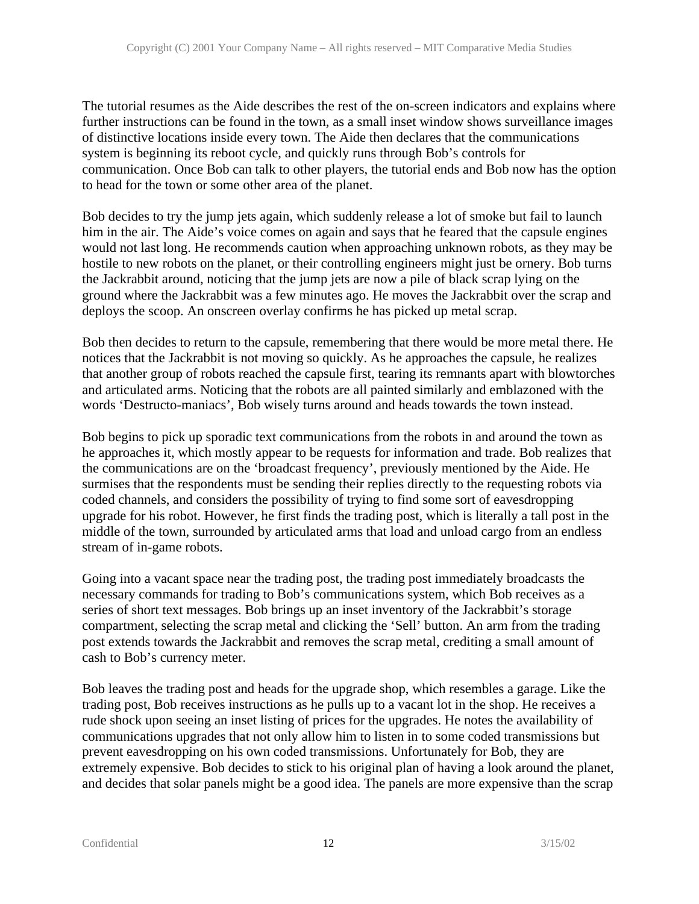The tutorial resumes as the Aide describes the rest of the on-screen indicators and explains where further instructions can be found in the town, as a small inset window shows surveillance images of distinctive locations inside every town. The Aide then declares that the communications system is beginning its reboot cycle, and quickly runs through Bob's controls for communication. Once Bob can talk to other players, the tutorial ends and Bob now has the option to head for the town or some other area of the planet.

Bob decides to try the jump jets again, which suddenly release a lot of smoke but fail to launch him in the air. The Aide's voice comes on again and says that he feared that the capsule engines would not last long. He recommends caution when approaching unknown robots, as they may be hostile to new robots on the planet, or their controlling engineers might just be ornery. Bob turns the Jackrabbit around, noticing that the jump jets are now a pile of black scrap lying on the ground where the Jackrabbit was a few minutes ago. He moves the Jackrabbit over the scrap and deploys the scoop. An onscreen overlay confirms he has picked up metal scrap.

Bob then decides to return to the capsule, remembering that there would be more metal there. He notices that the Jackrabbit is not moving so quickly. As he approaches the capsule, he realizes that another group of robots reached the capsule first, tearing its remnants apart with blowtorches and articulated arms. Noticing that the robots are all painted similarly and emblazoned with the words 'Destructo-maniacs', Bob wisely turns around and heads towards the town instead.

Bob begins to pick up sporadic text communications from the robots in and around the town as he approaches it, which mostly appear to be requests for information and trade. Bob realizes that the communications are on the 'broadcast frequency', previously mentioned by the Aide. He surmises that the respondents must be sending their replies directly to the requesting robots via coded channels, and considers the possibility of trying to find some sort of eavesdropping upgrade for his robot. However, he first finds the trading post, which is literally a tall post in the middle of the town, surrounded by articulated arms that load and unload cargo from an endless stream of in-game robots.

Going into a vacant space near the trading post, the trading post immediately broadcasts the necessary commands for trading to Bob's communications system, which Bob receives as a series of short text messages. Bob brings up an inset inventory of the Jackrabbit's storage compartment, selecting the scrap metal and clicking the 'Sell' button. An arm from the trading post extends towards the Jackrabbit and removes the scrap metal, crediting a small amount of cash to Bob's currency meter.

Bob leaves the trading post and heads for the upgrade shop, which resembles a garage. Like the trading post, Bob receives instructions as he pulls up to a vacant lot in the shop. He receives a rude shock upon seeing an inset listing of prices for the upgrades. He notes the availability of communications upgrades that not only allow him to listen in to some coded transmissions but prevent eavesdropping on his own coded transmissions. Unfortunately for Bob, they are extremely expensive. Bob decides to stick to his original plan of having a look around the planet, and decides that solar panels might be a good idea. The panels are more expensive than the scrap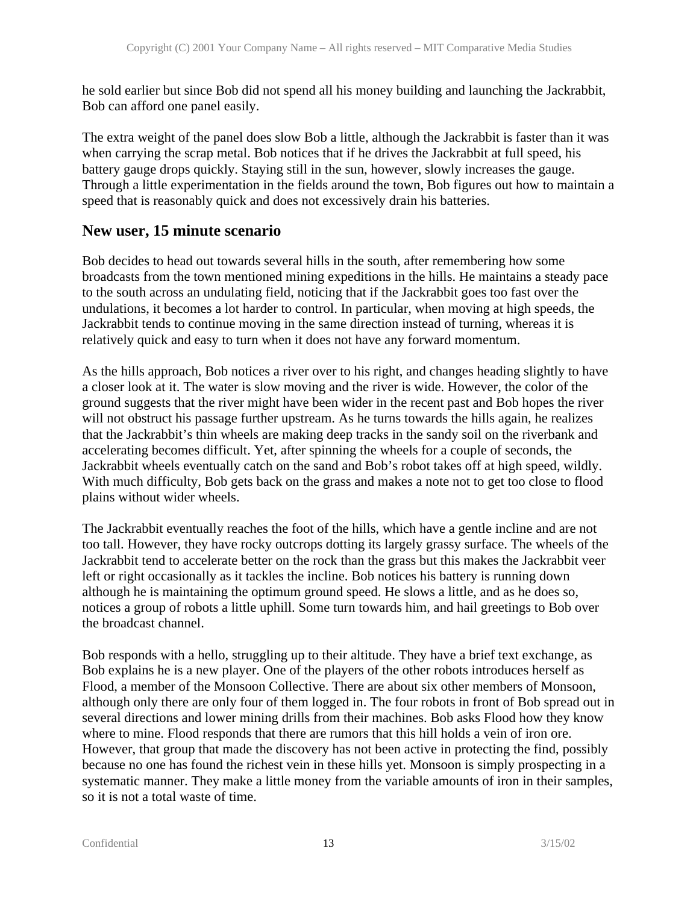he sold earlier but since Bob did not spend all his money building and launching the Jackrabbit, Bob can afford one panel easily.

The extra weight of the panel does slow Bob a little, although the Jackrabbit is faster than it was when carrying the scrap metal. Bob notices that if he drives the Jackrabbit at full speed, his battery gauge drops quickly. Staying still in the sun, however, slowly increases the gauge. Through a little experimentation in the fields around the town, Bob figures out how to maintain a speed that is reasonably quick and does not excessively drain his batteries.

### **New user, 15 minute scenario**

Bob decides to head out towards several hills in the south, after remembering how some broadcasts from the town mentioned mining expeditions in the hills. He maintains a steady pace to the south across an undulating field, noticing that if the Jackrabbit goes too fast over the undulations, it becomes a lot harder to control. In particular, when moving at high speeds, the Jackrabbit tends to continue moving in the same direction instead of turning, whereas it is relatively quick and easy to turn when it does not have any forward momentum.

As the hills approach, Bob notices a river over to his right, and changes heading slightly to have a closer look at it. The water is slow moving and the river is wide. However, the color of the ground suggests that the river might have been wider in the recent past and Bob hopes the river will not obstruct his passage further upstream. As he turns towards the hills again, he realizes that the Jackrabbit's thin wheels are making deep tracks in the sandy soil on the riverbank and accelerating becomes difficult. Yet, after spinning the wheels for a couple of seconds, the Jackrabbit wheels eventually catch on the sand and Bob's robot takes off at high speed, wildly. With much difficulty, Bob gets back on the grass and makes a note not to get too close to flood plains without wider wheels.

The Jackrabbit eventually reaches the foot of the hills, which have a gentle incline and are not too tall. However, they have rocky outcrops dotting its largely grassy surface. The wheels of the Jackrabbit tend to accelerate better on the rock than the grass but this makes the Jackrabbit veer left or right occasionally as it tackles the incline. Bob notices his battery is running down although he is maintaining the optimum ground speed. He slows a little, and as he does so, notices a group of robots a little uphill. Some turn towards him, and hail greetings to Bob over the broadcast channel.

Bob responds with a hello, struggling up to their altitude. They have a brief text exchange, as Bob explains he is a new player. One of the players of the other robots introduces herself as Flood, a member of the Monsoon Collective. There are about six other members of Monsoon, although only there are only four of them logged in. The four robots in front of Bob spread out in several directions and lower mining drills from their machines. Bob asks Flood how they know where to mine. Flood responds that there are rumors that this hill holds a vein of iron ore. However, that group that made the discovery has not been active in protecting the find, possibly because no one has found the richest vein in these hills yet. Monsoon is simply prospecting in a systematic manner. They make a little money from the variable amounts of iron in their samples, so it is not a total waste of time.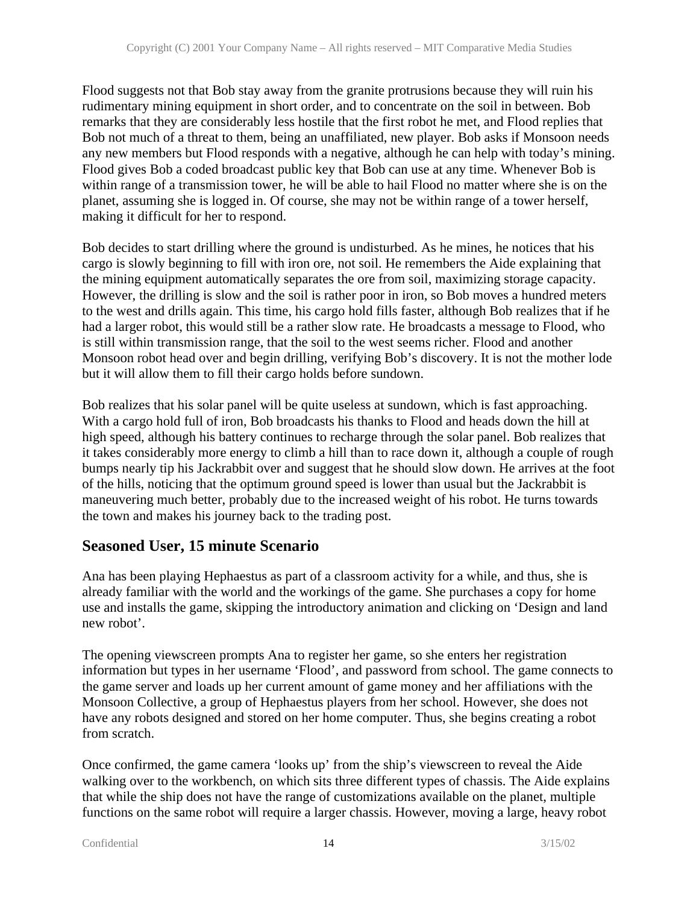Flood suggests not that Bob stay away from the granite protrusions because they will ruin his rudimentary mining equipment in short order, and to concentrate on the soil in between. Bob remarks that they are considerably less hostile that the first robot he met, and Flood replies that Bob not much of a threat to them, being an unaffiliated, new player. Bob asks if Monsoon needs any new members but Flood responds with a negative, although he can help with today's mining. Flood gives Bob a coded broadcast public key that Bob can use at any time. Whenever Bob is within range of a transmission tower, he will be able to hail Flood no matter where she is on the planet, assuming she is logged in. Of course, she may not be within range of a tower herself, making it difficult for her to respond.

Bob decides to start drilling where the ground is undisturbed. As he mines, he notices that his cargo is slowly beginning to fill with iron ore, not soil. He remembers the Aide explaining that the mining equipment automatically separates the ore from soil, maximizing storage capacity. However, the drilling is slow and the soil is rather poor in iron, so Bob moves a hundred meters to the west and drills again. This time, his cargo hold fills faster, although Bob realizes that if he had a larger robot, this would still be a rather slow rate. He broadcasts a message to Flood, who is still within transmission range, that the soil to the west seems richer. Flood and another Monsoon robot head over and begin drilling, verifying Bob's discovery. It is not the mother lode but it will allow them to fill their cargo holds before sundown.

Bob realizes that his solar panel will be quite useless at sundown, which is fast approaching. With a cargo hold full of iron, Bob broadcasts his thanks to Flood and heads down the hill at high speed, although his battery continues to recharge through the solar panel. Bob realizes that it takes considerably more energy to climb a hill than to race down it, although a couple of rough bumps nearly tip his Jackrabbit over and suggest that he should slow down. He arrives at the foot of the hills, noticing that the optimum ground speed is lower than usual but the Jackrabbit is maneuvering much better, probably due to the increased weight of his robot. He turns towards the town and makes his journey back to the trading post.

### **Seasoned User, 15 minute Scenario**

Ana has been playing Hephaestus as part of a classroom activity for a while, and thus, she is already familiar with the world and the workings of the game. She purchases a copy for home use and installs the game, skipping the introductory animation and clicking on 'Design and land new robot'.

The opening viewscreen prompts Ana to register her game, so she enters her registration information but types in her username 'Flood', and password from school. The game connects to the game server and loads up her current amount of game money and her affiliations with the Monsoon Collective, a group of Hephaestus players from her school. However, she does not have any robots designed and stored on her home computer. Thus, she begins creating a robot from scratch.

Once confirmed, the game camera 'looks up' from the ship's viewscreen to reveal the Aide walking over to the workbench, on which sits three different types of chassis. The Aide explains that while the ship does not have the range of customizations available on the planet, multiple functions on the same robot will require a larger chassis. However, moving a large, heavy robot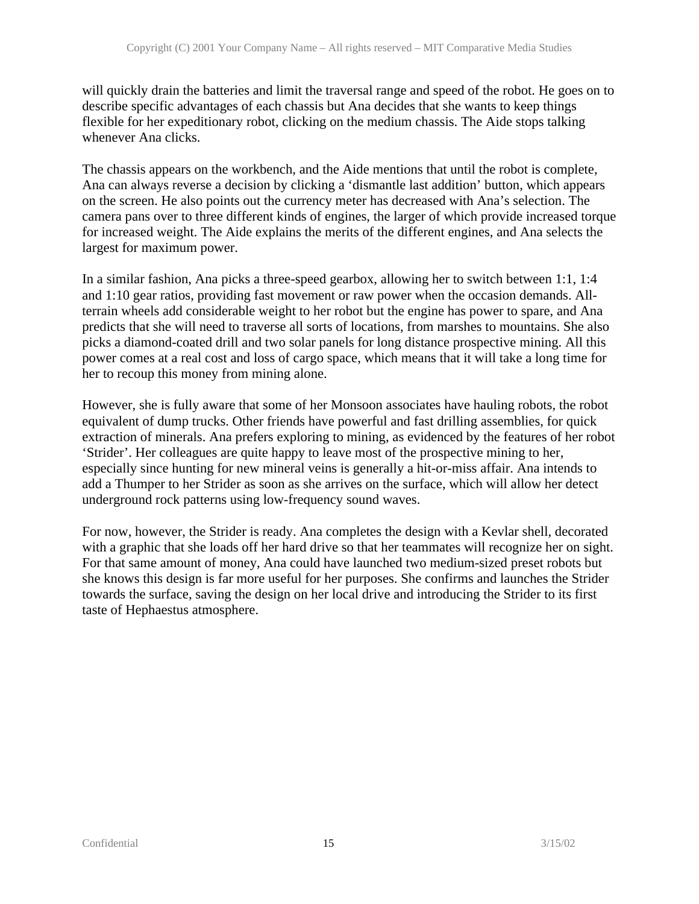will quickly drain the batteries and limit the traversal range and speed of the robot. He goes on to describe specific advantages of each chassis but Ana decides that she wants to keep things flexible for her expeditionary robot, clicking on the medium chassis. The Aide stops talking whenever Ana clicks.

The chassis appears on the workbench, and the Aide mentions that until the robot is complete, Ana can always reverse a decision by clicking a 'dismantle last addition' button, which appears on the screen. He also points out the currency meter has decreased with Ana's selection. The camera pans over to three different kinds of engines, the larger of which provide increased torque for increased weight. The Aide explains the merits of the different engines, and Ana selects the largest for maximum power.

In a similar fashion, Ana picks a three-speed gearbox, allowing her to switch between 1:1, 1:4 and 1:10 gear ratios, providing fast movement or raw power when the occasion demands. Allterrain wheels add considerable weight to her robot but the engine has power to spare, and Ana predicts that she will need to traverse all sorts of locations, from marshes to mountains. She also picks a diamond-coated drill and two solar panels for long distance prospective mining. All this power comes at a real cost and loss of cargo space, which means that it will take a long time for her to recoup this money from mining alone.

However, she is fully aware that some of her Monsoon associates have hauling robots, the robot equivalent of dump trucks. Other friends have powerful and fast drilling assemblies, for quick extraction of minerals. Ana prefers exploring to mining, as evidenced by the features of her robot 'Strider'. Her colleagues are quite happy to leave most of the prospective mining to her, especially since hunting for new mineral veins is generally a hit-or-miss affair. Ana intends to add a Thumper to her Strider as soon as she arrives on the surface, which will allow her detect underground rock patterns using low-frequency sound waves.

For now, however, the Strider is ready. Ana completes the design with a Kevlar shell, decorated with a graphic that she loads off her hard drive so that her teammates will recognize her on sight. For that same amount of money, Ana could have launched two medium-sized preset robots but she knows this design is far more useful for her purposes. She confirms and launches the Strider towards the surface, saving the design on her local drive and introducing the Strider to its first taste of Hephaestus atmosphere.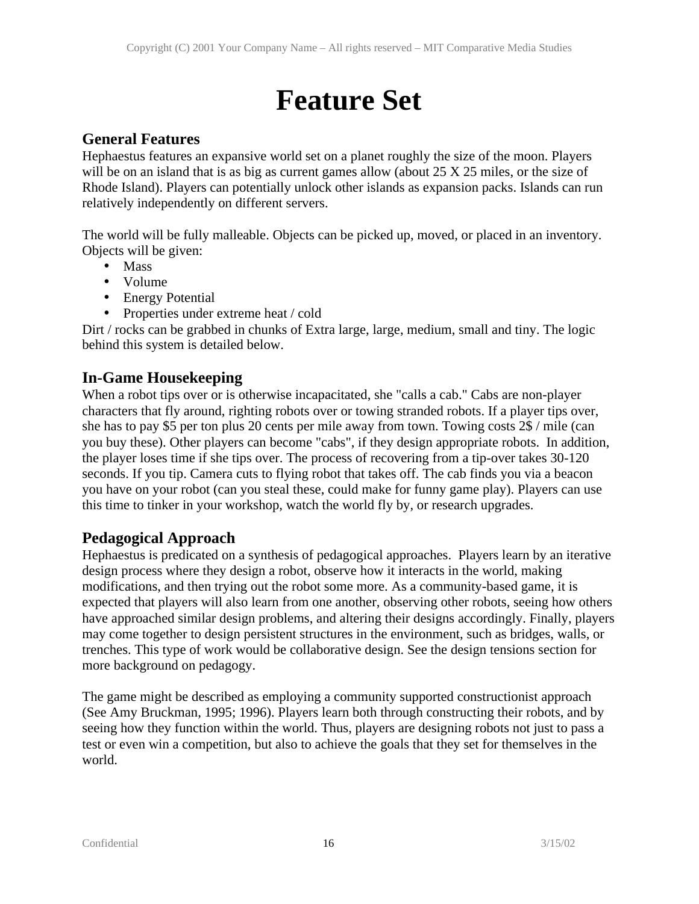# **Feature Set**

### **General Features**

Hephaestus features an expansive world set on a planet roughly the size of the moon. Players will be on an island that is as big as current games allow (about 25 X 25 miles, or the size of Rhode Island). Players can potentially unlock other islands as expansion packs. Islands can run relatively independently on different servers.

The world will be fully malleable. Objects can be picked up, moved, or placed in an inventory. Objects will be given:

- Mass
- Volume
- Energy Potential
- Properties under extreme heat / cold

Dirt / rocks can be grabbed in chunks of Extra large, large, medium, small and tiny. The logic behind this system is detailed below.

### **In-Game Housekeeping**

When a robot tips over or is otherwise incapacitated, she "calls a cab." Cabs are non-player characters that fly around, righting robots over or towing stranded robots. If a player tips over, she has to pay \$5 per ton plus 20 cents per mile away from town. Towing costs 2\$ / mile (can you buy these). Other players can become "cabs", if they design appropriate robots. In addition, the player loses time if she tips over. The process of recovering from a tip-over takes 30-120 seconds. If you tip. Camera cuts to flying robot that takes off. The cab finds you via a beacon you have on your robot (can you steal these, could make for funny game play). Players can use this time to tinker in your workshop, watch the world fly by, or research upgrades.

### **Pedagogical Approach**

Hephaestus is predicated on a synthesis of pedagogical approaches. Players learn by an iterative design process where they design a robot, observe how it interacts in the world, making modifications, and then trying out the robot some more. As a community-based game, it is expected that players will also learn from one another, observing other robots, seeing how others have approached similar design problems, and altering their designs accordingly. Finally, players may come together to design persistent structures in the environment, such as bridges, walls, or trenches. This type of work would be collaborative design. See the design tensions section for more background on pedagogy.

The game might be described as employing a community supported constructionist approach (See Amy Bruckman, 1995; 1996). Players learn both through constructing their robots, and by seeing how they function within the world. Thus, players are designing robots not just to pass a test or even win a competition, but also to achieve the goals that they set for themselves in the world.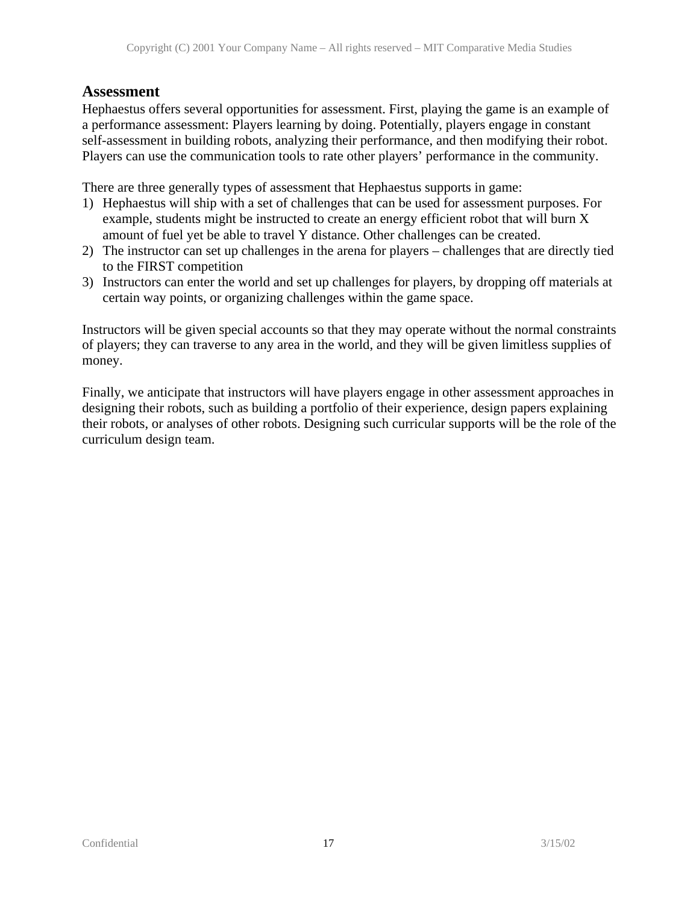### **Assessment**

Hephaestus offers several opportunities for assessment. First, playing the game is an example of a performance assessment: Players learning by doing. Potentially, players engage in constant self-assessment in building robots, analyzing their performance, and then modifying their robot. Players can use the communication tools to rate other players' performance in the community.

There are three generally types of assessment that Hephaestus supports in game:

- 1) Hephaestus will ship with a set of challenges that can be used for assessment purposes. For example, students might be instructed to create an energy efficient robot that will burn X amount of fuel yet be able to travel Y distance. Other challenges can be created.
- 2) The instructor can set up challenges in the arena for players challenges that are directly tied to the FIRST competition
- 3) Instructors can enter the world and set up challenges for players, by dropping off materials at certain way points, or organizing challenges within the game space.

Instructors will be given special accounts so that they may operate without the normal constraints of players; they can traverse to any area in the world, and they will be given limitless supplies of money.

Finally, we anticipate that instructors will have players engage in other assessment approaches in designing their robots, such as building a portfolio of their experience, design papers explaining their robots, or analyses of other robots. Designing such curricular supports will be the role of the curriculum design team.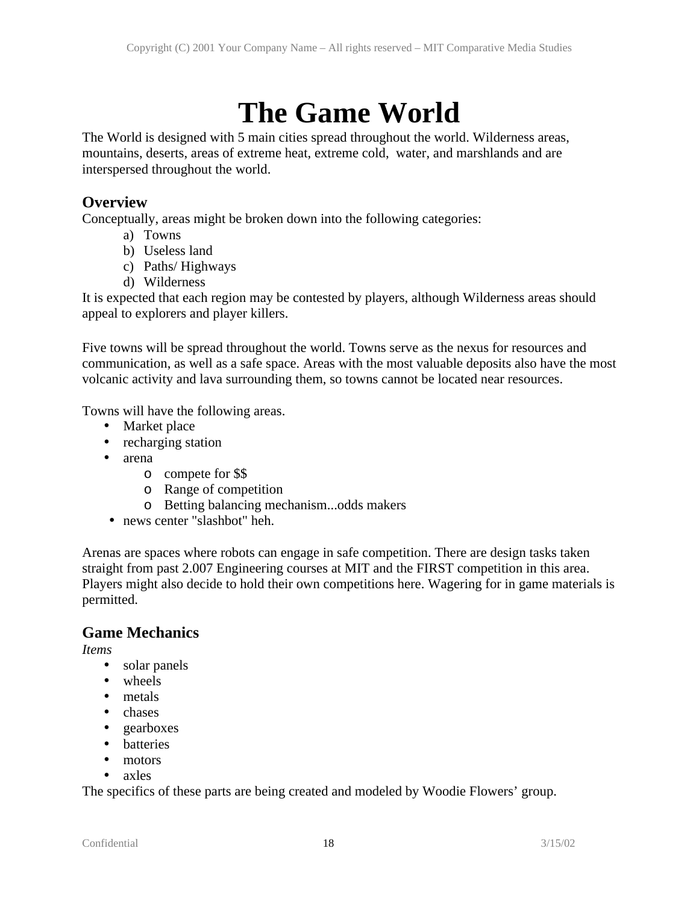# **The Game World**

The World is designed with 5 main cities spread throughout the world. Wilderness areas, mountains, deserts, areas of extreme heat, extreme cold, water, and marshlands and are interspersed throughout the world.

### **Overview**

Conceptually, areas might be broken down into the following categories:

- a) Towns
- b) Useless land
- c) Paths/ Highways
- d) Wilderness

It is expected that each region may be contested by players, although Wilderness areas should appeal to explorers and player killers.

Five towns will be spread throughout the world. Towns serve as the nexus for resources and communication, as well as a safe space. Areas with the most valuable deposits also have the most volcanic activity and lava surrounding them, so towns cannot be located near resources.

Towns will have the following areas.

- Market place
- recharging station
- arena
	- o compete for \$\$
	- o Range of competition
	- o Betting balancing mechanism...odds makers
- news center "slashbot" heh.

Arenas are spaces where robots can engage in safe competition. There are design tasks taken straight from past 2.007 Engineering courses at MIT and the FIRST competition in this area. Players might also decide to hold their own competitions here. Wagering for in game materials is permitted.

### **Game Mechanics**

*Items*

- solar panels
- wheels
- metals
- chases
- gearboxes
- batteries
- motors
- axles

The specifics of these parts are being created and modeled by Woodie Flowers' group.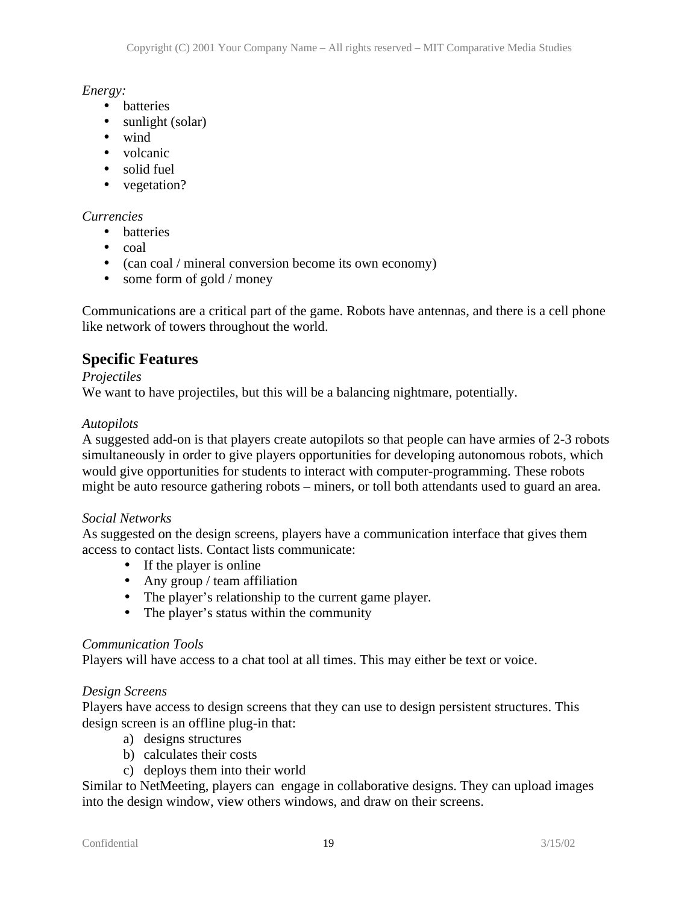*Energy:*

- batteries
- sunlight (solar)
- wind
- volcanic
- solid fuel
- vegetation?

### *Currencies*

- batteries
- coal
- (can coal / mineral conversion become its own economy)
- some form of gold / money

Communications are a critical part of the game. Robots have antennas, and there is a cell phone like network of towers throughout the world.

### **Specific Features**

### *Projectiles*

We want to have projectiles, but this will be a balancing nightmare, potentially.

### *Autopilots*

A suggested add-on is that players create autopilots so that people can have armies of 2-3 robots simultaneously in order to give players opportunities for developing autonomous robots, which would give opportunities for students to interact with computer-programming. These robots might be auto resource gathering robots – miners, or toll both attendants used to guard an area.

### *Social Networks*

As suggested on the design screens, players have a communication interface that gives them access to contact lists. Contact lists communicate:

- If the player is online
- Any group / team affiliation
- The player's relationship to the current game player.
- The player's status within the community

### *Communication Tools*

Players will have access to a chat tool at all times. This may either be text or voice.

### *Design Screens*

Players have access to design screens that they can use to design persistent structures. This design screen is an offline plug-in that:

- a) designs structures
- b) calculates their costs
- c) deploys them into their world

Similar to NetMeeting, players can engage in collaborative designs. They can upload images into the design window, view others windows, and draw on their screens.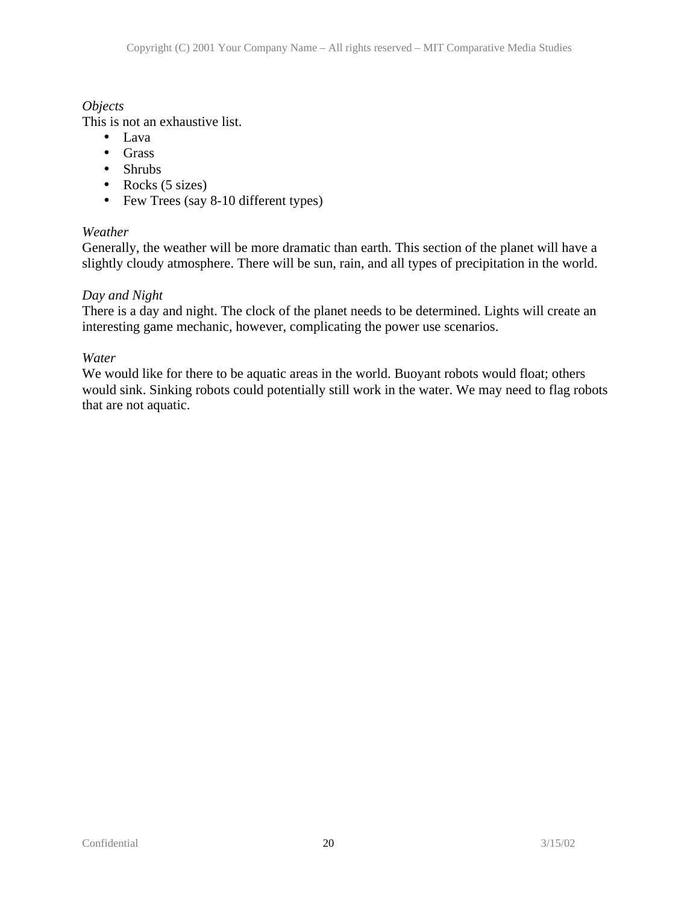### *Objects*

This is not an exhaustive list.

- Lava
- Grass
- Shrubs
- Rocks (5 sizes)
- Few Trees (say 8-10 different types)

### *Weather*

Generally, the weather will be more dramatic than earth. This section of the planet will have a slightly cloudy atmosphere. There will be sun, rain, and all types of precipitation in the world.

### *Day and Night*

There is a day and night. The clock of the planet needs to be determined. Lights will create an interesting game mechanic, however, complicating the power use scenarios.

### *Water*

We would like for there to be aquatic areas in the world. Buoyant robots would float; others would sink. Sinking robots could potentially still work in the water. We may need to flag robots that are not aquatic.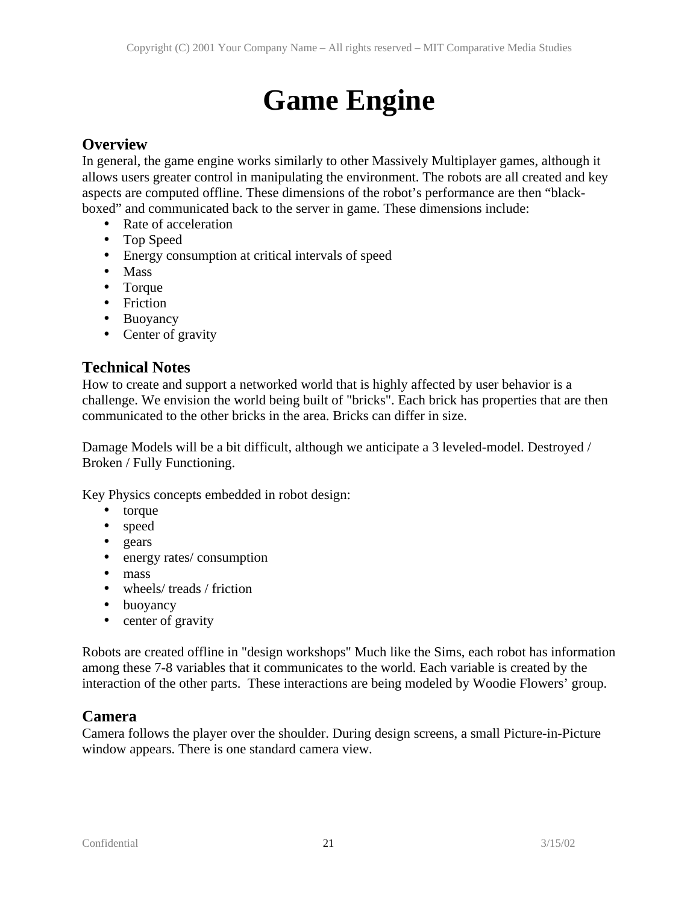# **Game Engine**

### **Overview**

In general, the game engine works similarly to other Massively Multiplayer games, although it allows users greater control in manipulating the environment. The robots are all created and key aspects are computed offline. These dimensions of the robot's performance are then "blackboxed" and communicated back to the server in game. These dimensions include:

- Rate of acceleration
- Top Speed
- Energy consumption at critical intervals of speed
- Mass
- Torque
- Friction
- Buoyancy
- Center of gravity

### **Technical Notes**

How to create and support a networked world that is highly affected by user behavior is a challenge. We envision the world being built of "bricks". Each brick has properties that are then communicated to the other bricks in the area. Bricks can differ in size.

Damage Models will be a bit difficult, although we anticipate a 3 leveled-model. Destroyed / Broken / Fully Functioning.

Key Physics concepts embedded in robot design:

- torque
- speed
- gears
- energy rates/ consumption
- mass
- wheels/ treads / friction
- buoyancy
- center of gravity

Robots are created offline in "design workshops" Much like the Sims, each robot has information among these 7-8 variables that it communicates to the world. Each variable is created by the interaction of the other parts. These interactions are being modeled by Woodie Flowers' group.

### **Camera**

Camera follows the player over the shoulder. During design screens, a small Picture-in-Picture window appears. There is one standard camera view.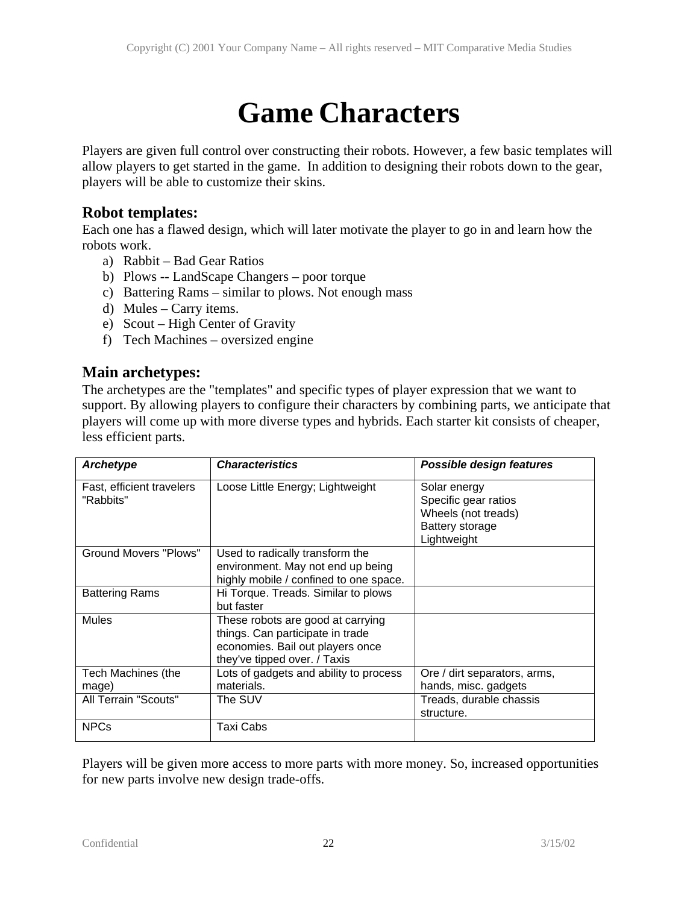# **Game Characters**

Players are given full control over constructing their robots. However, a few basic templates will allow players to get started in the game. In addition to designing their robots down to the gear, players will be able to customize their skins.

### **Robot templates:**

Each one has a flawed design, which will later motivate the player to go in and learn how the robots work.

- a) Rabbit Bad Gear Ratios
- b) Plows -- LandScape Changers poor torque
- c) Battering Rams similar to plows. Not enough mass
- d) Mules Carry items.
- e) Scout High Center of Gravity
- f) Tech Machines oversized engine

### **Main archetypes:**

The archetypes are the "templates" and specific types of player expression that we want to support. By allowing players to configure their characters by combining parts, we anticipate that players will come up with more diverse types and hybrids. Each starter kit consists of cheaper, less efficient parts.

| Archetype                              | <b>Characteristics</b>                                                                                                                    | Possible design features                                                                      |
|----------------------------------------|-------------------------------------------------------------------------------------------------------------------------------------------|-----------------------------------------------------------------------------------------------|
| Fast, efficient travelers<br>"Rabbits" | Loose Little Energy; Lightweight                                                                                                          | Solar energy<br>Specific gear ratios<br>Wheels (not treads)<br>Battery storage<br>Lightweight |
| Ground Movers "Plows"                  | Used to radically transform the<br>environment. May not end up being<br>highly mobile / confined to one space.                            |                                                                                               |
| <b>Battering Rams</b>                  | Hi Torque. Treads. Similar to plows<br>but faster                                                                                         |                                                                                               |
| Mules                                  | These robots are good at carrying<br>things. Can participate in trade<br>economies. Bail out players once<br>they've tipped over. / Taxis |                                                                                               |
| Tech Machines (the<br>mage)            | Lots of gadgets and ability to process<br>materials.                                                                                      | Ore / dirt separators, arms,<br>hands, misc. gadgets                                          |
| All Terrain "Scouts"                   | The SUV                                                                                                                                   | Treads, durable chassis<br>structure.                                                         |
| <b>NPCs</b>                            | Taxi Cabs                                                                                                                                 |                                                                                               |

Players will be given more access to more parts with more money. So, increased opportunities for new parts involve new design trade-offs.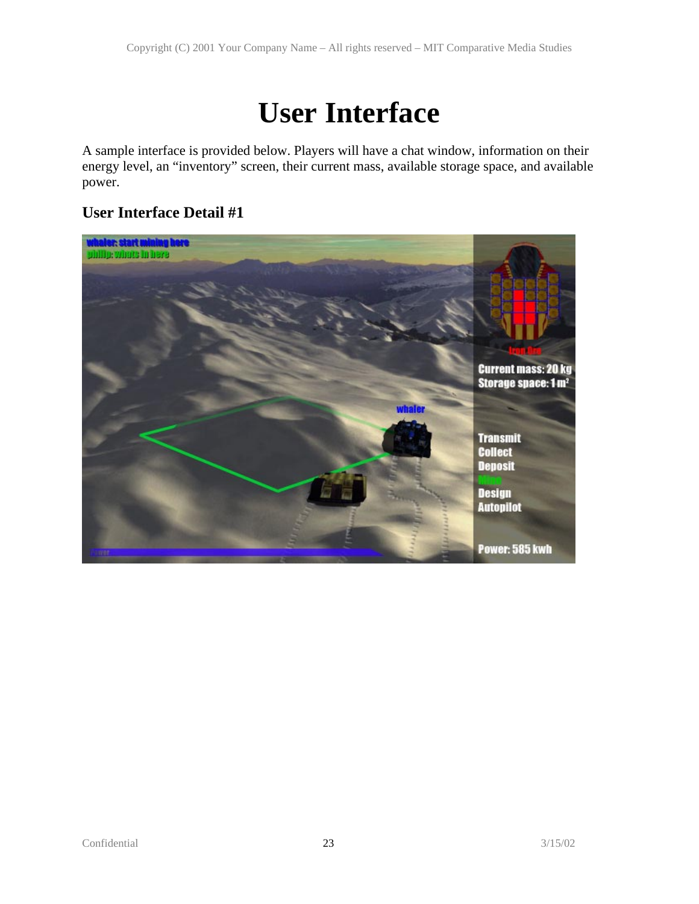# **User Interface**

A sample interface is provided below. Players will have a chat window, information on their energy level, an "inventory" screen, their current mass, available storage space, and available power.

### **User Interface Detail #1**

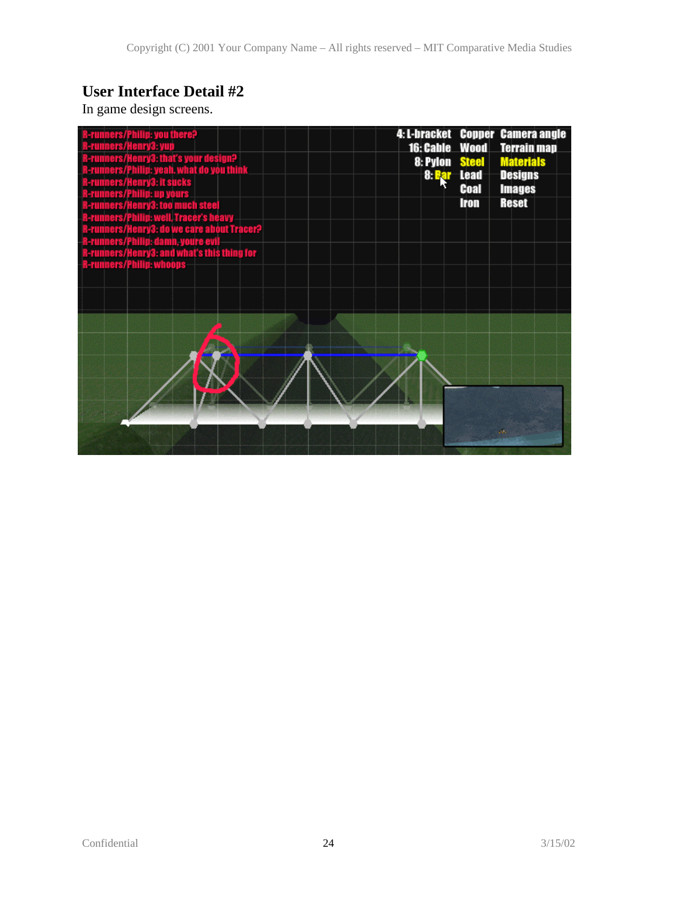### **User Interface Detail #2**

In game design screens.

| <b>R-runners/Philip: you there?</b><br>-runners/Henry3: yup<br>-runners/Henry3: that's your design?<br>1-runners/Philip: yeah. what do you thini<br>l-runners/Henry3: it sucks | 16: Cable Wood<br><b>8: Pylon Steel</b> | 8: <mark>Bar Lead</mark><br>Coal | 4: L-bracket Copper Camera angle<br>Terrain map<br><b>Materials</b><br>Designs<br><b>Images</b> |
|--------------------------------------------------------------------------------------------------------------------------------------------------------------------------------|-----------------------------------------|----------------------------------|-------------------------------------------------------------------------------------------------|
| <b>R-runners/Philip: up yours .</b><br>-runners/Henry3: too much stee                                                                                                          |                                         | Iron                             | <b>Reset</b>                                                                                    |
| -runners/Philip: well Tracer's heavy                                                                                                                                           |                                         |                                  |                                                                                                 |
| -runners/Henry3: do we care about Tracer?                                                                                                                                      |                                         |                                  |                                                                                                 |
| 1-runners/Philip: damn, youre evil                                                                                                                                             |                                         |                                  |                                                                                                 |
| 1-runners/Henry3: and what's this thing for<br><b>R-runners/Philip: whoops</b>                                                                                                 |                                         |                                  |                                                                                                 |
|                                                                                                                                                                                |                                         |                                  |                                                                                                 |
|                                                                                                                                                                                |                                         |                                  |                                                                                                 |
|                                                                                                                                                                                |                                         |                                  |                                                                                                 |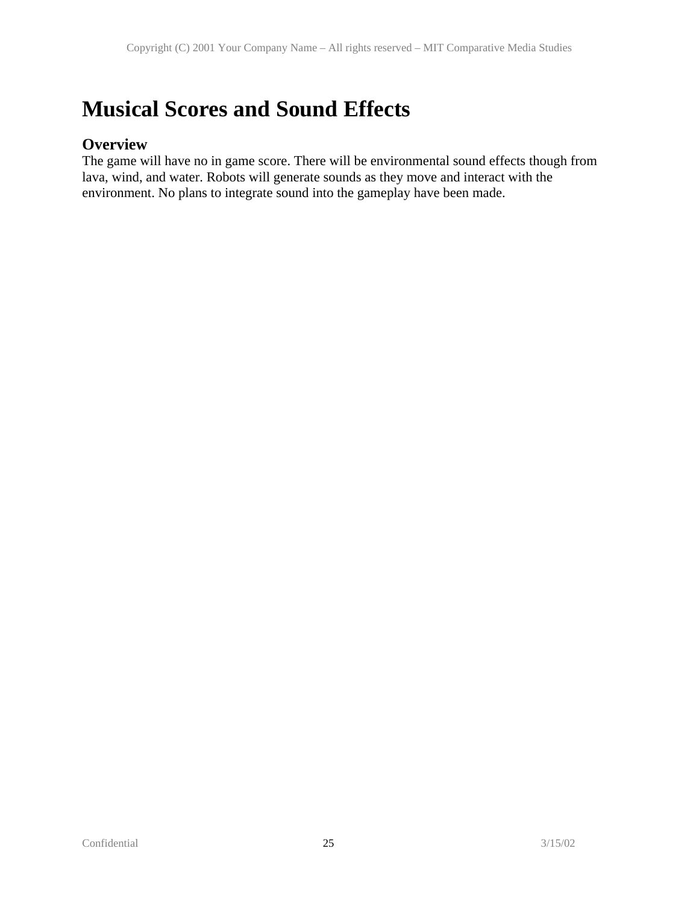### **Musical Scores and Sound Effects**

### **Overview**

The game will have no in game score. There will be environmental sound effects though from lava, wind, and water. Robots will generate sounds as they move and interact with the environment. No plans to integrate sound into the gameplay have been made.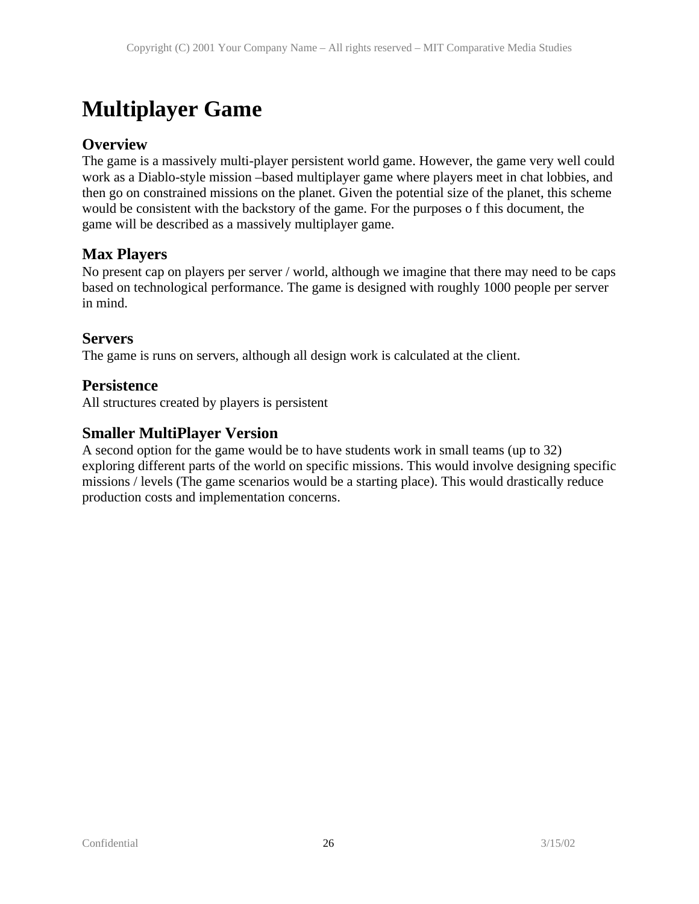# **Multiplayer Game**

### **Overview**

The game is a massively multi-player persistent world game. However, the game very well could work as a Diablo-style mission –based multiplayer game where players meet in chat lobbies, and then go on constrained missions on the planet. Given the potential size of the planet, this scheme would be consistent with the backstory of the game. For the purposes o f this document, the game will be described as a massively multiplayer game.

### **Max Players**

No present cap on players per server / world, although we imagine that there may need to be caps based on technological performance. The game is designed with roughly 1000 people per server in mind.

### **Servers**

The game is runs on servers, although all design work is calculated at the client.

### **Persistence**

All structures created by players is persistent

### **Smaller MultiPlayer Version**

A second option for the game would be to have students work in small teams (up to 32) exploring different parts of the world on specific missions. This would involve designing specific missions / levels (The game scenarios would be a starting place). This would drastically reduce production costs and implementation concerns.